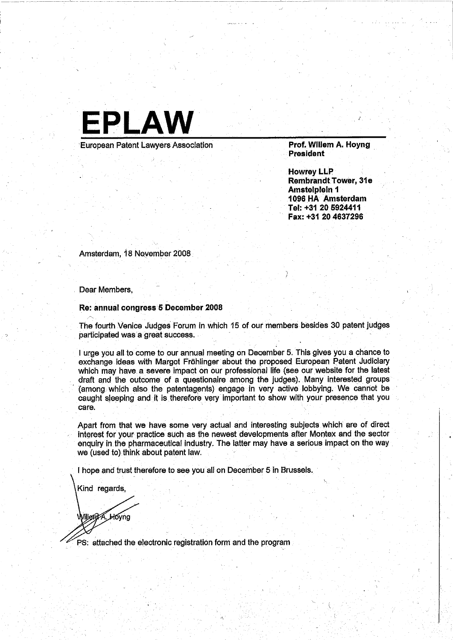

Howrey LLP Rembrandt Tower, 31e Amstelplein 1 1096 HA' Amsterdam Tel: +31 20 5924411 Fax: +31 20 4637296

Amsterdam, 18 Noyemper 2008

. Dear Members,

~

## Re: annual congress 5 December 2008

The fourth Venice Judges Forum in which 15 of our members besides 30 patent judges participated was a great success.

I urge you all to come to our annual meeting on December 5. This gives you a chance to exchange ideas with Margot Fröhlinger about the proposed European Patent Judiciary which may have a severe impact on our professional life (see our website for the latest draft and' the outcome of a questionaire among the judges). Many interested groups (among which also the patentagents) engage in very active lobbying. We cannot be caught sleeping and it is therefore very important to show with your presence that you care.

Apart from that we have some very actual and interesting subjects which are of direct interest for your practice such as the newest developments after Montex and the sector enquiry in the pharmaceutical industry. The latter may have a serious impact on the way we (used to) think about patent law. .

I hope and trust therefore to see you all on December 5 in Brussels.

Kind regards,

Nillent A. Hoyng

ps: attached the electronic registration form and the program